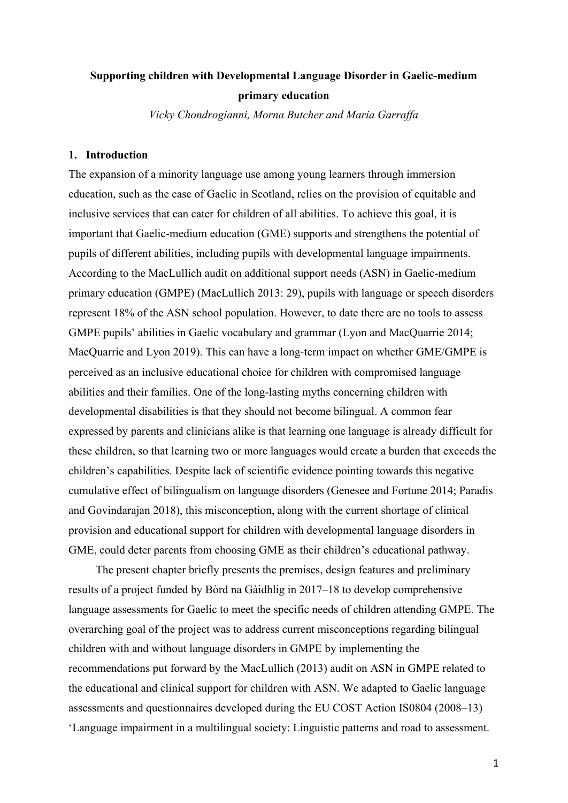## **Supporting children with Developmental Language Disorder in Gaelic-medium primary education**

*Vicky Chondrogianni, Morna Butcher and Maria Garraffa*

## **1. Introduction**

The expansion of a minority language use among young learners through immersion education, such as the case of Gaelic in Scotland, relies on the provision of equitable and inclusive services that can cater for children of all abilities. To achieve this goal, it is important that Gaelic-medium education (GME) supports and strengthens the potential of pupils of different abilities, including pupils with developmental language impairments. According to the MacLullich audit on additional support needs (ASN) in Gaelic-medium primary education (GMPE) (MacLullich 2013: 29), pupils with language or speech disorders represent 18% of the ASN school population. However, to date there are no tools to assess GMPE pupils' abilities in Gaelic vocabulary and grammar (Lyon and MacQuarrie 2014; MacQuarrie and Lyon 2019). This can have a long-term impact on whether GME/GMPE is perceived as an inclusive educational choice for children with compromised language abilities and their families. One of the long-lasting myths concerning children with developmental disabilities is that they should not become bilingual. A common fear expressed by parents and clinicians alike is that learning one language is already difficult for these children, so that learning two or more languages would create a burden that exceeds the children's capabilities. Despite lack of scientific evidence pointing towards this negative cumulative effect of bilingualism on language disorders (Genesee and Fortune 2014; Paradis and Govindarajan 2018), this misconception, along with the current shortage of clinical provision and educational support for children with developmental language disorders in GME, could deter parents from choosing GME as their children's educational pathway.

The present chapter briefly presents the premises, design features and preliminary results of a project funded by Bòrd na Gàidhlig in 2017–18 to develop comprehensive language assessments for Gaelic to meet the specific needs of children attending GMPE. The overarching goal of the project was to address current misconceptions regarding bilingual children with and without language disorders in GMPE by implementing the recommendations put forward by the MacLullich (2013) audit on ASN in GMPE related to the educational and clinical support for children with ASN. We adapted to Gaelic language assessments and questionnaires developed during the EU COST Action IS0804 (2008–13) 'Language impairment in a multilingual society: Linguistic patterns and road to assessment.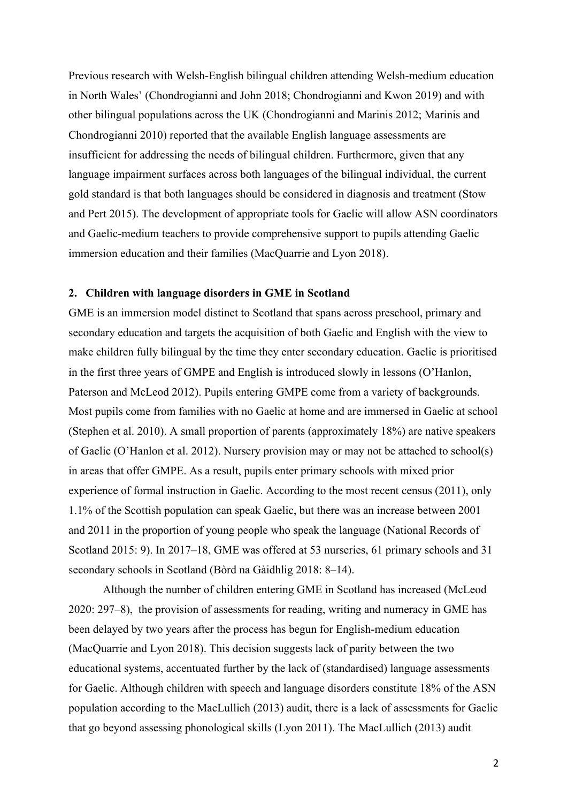Previous research with Welsh-English bilingual children attending Welsh-medium education in North Wales' (Chondrogianni and John 2018; Chondrogianni and Kwon 2019) and with other bilingual populations across the UK (Chondrogianni and Marinis 2012; Marinis and Chondrogianni 2010) reported that the available English language assessments are insufficient for addressing the needs of bilingual children. Furthermore, given that any language impairment surfaces across both languages of the bilingual individual, the current gold standard is that both languages should be considered in diagnosis and treatment (Stow and Pert 2015). The development of appropriate tools for Gaelic will allow ASN coordinators and Gaelic-medium teachers to provide comprehensive support to pupils attending Gaelic immersion education and their families (MacQuarrie and Lyon 2018).

#### **2. Children with language disorders in GME in Scotland**

GME is an immersion model distinct to Scotland that spans across preschool, primary and secondary education and targets the acquisition of both Gaelic and English with the view to make children fully bilingual by the time they enter secondary education. Gaelic is prioritised in the first three years of GMPE and English is introduced slowly in lessons (O'Hanlon, Paterson and McLeod 2012). Pupils entering GMPE come from a variety of backgrounds. Most pupils come from families with no Gaelic at home and are immersed in Gaelic at school (Stephen et al. 2010). A small proportion of parents (approximately 18%) are native speakers of Gaelic (O'Hanlon et al. 2012). Nursery provision may or may not be attached to school(s) in areas that offer GMPE. As a result, pupils enter primary schools with mixed prior experience of formal instruction in Gaelic. According to the most recent census (2011), only 1.1% of the Scottish population can speak Gaelic, but there was an increase between 2001 and 2011 in the proportion of young people who speak the language (National Records of Scotland 2015: 9). In 2017–18, GME was offered at 53 nurseries, 61 primary schools and 31 secondary schools in Scotland (Bòrd na Gàidhlig 2018: 8–14).

Although the number of children entering GME in Scotland has increased (McLeod 2020: 297–8), the provision of assessments for reading, writing and numeracy in GME has been delayed by two years after the process has begun for English-medium education (MacQuarrie and Lyon 2018). This decision suggests lack of parity between the two educational systems, accentuated further by the lack of (standardised) language assessments for Gaelic. Although children with speech and language disorders constitute 18% of the ASN population according to the MacLullich (2013) audit, there is a lack of assessments for Gaelic that go beyond assessing phonological skills (Lyon 2011). The MacLullich (2013) audit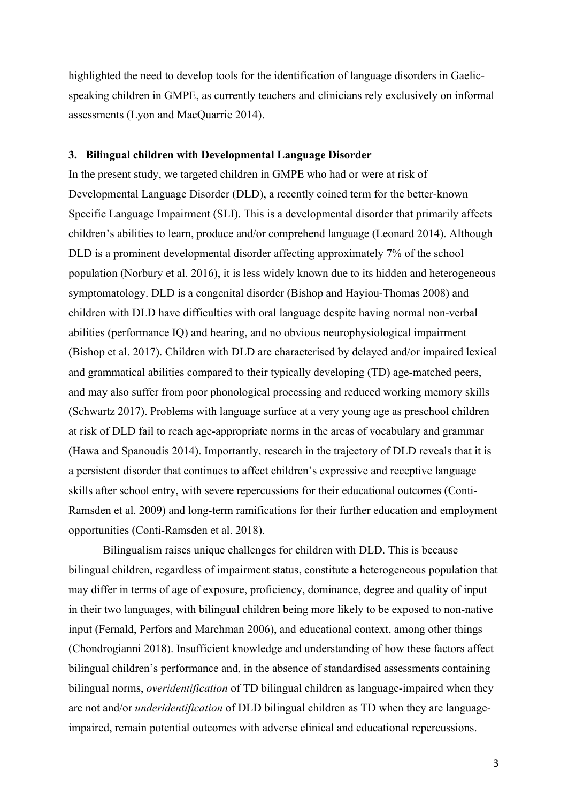highlighted the need to develop tools for the identification of language disorders in Gaelicspeaking children in GMPE, as currently teachers and clinicians rely exclusively on informal assessments (Lyon and MacQuarrie 2014).

## **3. Bilingual children with Developmental Language Disorder**

In the present study, we targeted children in GMPE who had or were at risk of Developmental Language Disorder (DLD), a recently coined term for the better-known Specific Language Impairment (SLI). This is a developmental disorder that primarily affects children's abilities to learn, produce and/or comprehend language (Leonard 2014). Although DLD is a prominent developmental disorder affecting approximately 7% of the school population (Norbury et al. 2016), it is less widely known due to its hidden and heterogeneous symptomatology. DLD is a congenital disorder (Bishop and Hayiou-Thomas 2008) and children with DLD have difficulties with oral language despite having normal non-verbal abilities (performance IQ) and hearing, and no obvious neurophysiological impairment (Bishop et al. 2017). Children with DLD are characterised by delayed and/or impaired lexical and grammatical abilities compared to their typically developing (TD) age-matched peers, and may also suffer from poor phonological processing and reduced working memory skills (Schwartz 2017). Problems with language surface at a very young age as preschool children at risk of DLD fail to reach age-appropriate norms in the areas of vocabulary and grammar (Hawa and Spanoudis 2014). Importantly, research in the trajectory of DLD reveals that it is a persistent disorder that continues to affect children's expressive and receptive language skills after school entry, with severe repercussions for their educational outcomes (Conti-Ramsden et al. 2009) and long-term ramifications for their further education and employment opportunities (Conti-Ramsden et al. 2018).

Bilingualism raises unique challenges for children with DLD. This is because bilingual children, regardless of impairment status, constitute a heterogeneous population that may differ in terms of age of exposure, proficiency, dominance, degree and quality of input in their two languages, with bilingual children being more likely to be exposed to non-native input (Fernald, Perfors and Marchman 2006), and educational context, among other things (Chondrogianni 2018). Insufficient knowledge and understanding of how these factors affect bilingual children's performance and, in the absence of standardised assessments containing bilingual norms, *overidentification* of TD bilingual children as language-impaired when they are not and/or *underidentification* of DLD bilingual children as TD when they are languageimpaired, remain potential outcomes with adverse clinical and educational repercussions.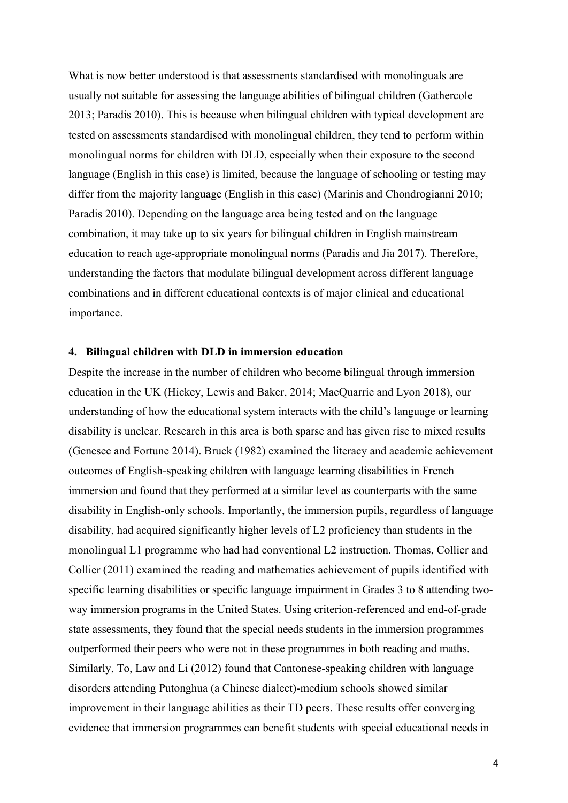What is now better understood is that assessments standardised with monolinguals are usually not suitable for assessing the language abilities of bilingual children (Gathercole 2013; Paradis 2010). This is because when bilingual children with typical development are tested on assessments standardised with monolingual children, they tend to perform within monolingual norms for children with DLD, especially when their exposure to the second language (English in this case) is limited, because the language of schooling or testing may differ from the majority language (English in this case) (Marinis and Chondrogianni 2010; Paradis 2010). Depending on the language area being tested and on the language combination, it may take up to six years for bilingual children in English mainstream education to reach age-appropriate monolingual norms (Paradis and Jia 2017). Therefore, understanding the factors that modulate bilingual development across different language combinations and in different educational contexts is of major clinical and educational importance.

#### **4. Bilingual children with DLD in immersion education**

Despite the increase in the number of children who become bilingual through immersion education in the UK (Hickey, Lewis and Baker, 2014; MacQuarrie and Lyon 2018), our understanding of how the educational system interacts with the child's language or learning disability is unclear. Research in this area is both sparse and has given rise to mixed results (Genesee and Fortune 2014). Bruck (1982) examined the literacy and academic achievement outcomes of English-speaking children with language learning disabilities in French immersion and found that they performed at a similar level as counterparts with the same disability in English-only schools. Importantly, the immersion pupils, regardless of language disability, had acquired significantly higher levels of L2 proficiency than students in the monolingual L1 programme who had had conventional L2 instruction. Thomas, Collier and Collier (2011) examined the reading and mathematics achievement of pupils identified with specific learning disabilities or specific language impairment in Grades 3 to 8 attending twoway immersion programs in the United States. Using criterion-referenced and end-of-grade state assessments, they found that the special needs students in the immersion programmes outperformed their peers who were not in these programmes in both reading and maths. Similarly, To, Law and Li (2012) found that Cantonese-speaking children with language disorders attending Putonghua (a Chinese dialect)-medium schools showed similar improvement in their language abilities as their TD peers. These results offer converging evidence that immersion programmes can benefit students with special educational needs in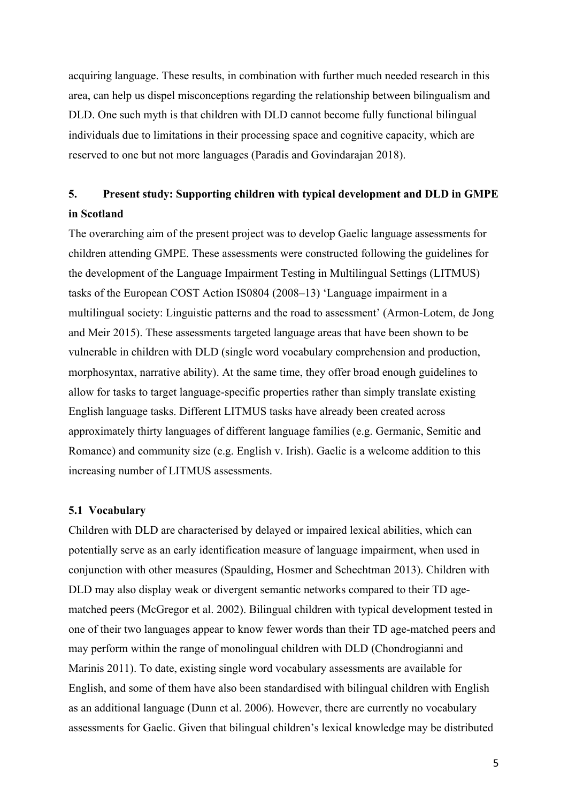acquiring language. These results, in combination with further much needed research in this area, can help us dispel misconceptions regarding the relationship between bilingualism and DLD. One such myth is that children with DLD cannot become fully functional bilingual individuals due to limitations in their processing space and cognitive capacity, which are reserved to one but not more languages (Paradis and Govindarajan 2018).

# **5. Present study: Supporting children with typical development and DLD in GMPE in Scotland**

The overarching aim of the present project was to develop Gaelic language assessments for children attending GMPE. These assessments were constructed following the guidelines for the development of the Language Impairment Testing in Multilingual Settings (LITMUS) tasks of the European COST Action IS0804 (2008–13) 'Language impairment in a multilingual society: Linguistic patterns and the road to assessment' (Armon-Lotem, de Jong and Meir 2015). These assessments targeted language areas that have been shown to be vulnerable in children with DLD (single word vocabulary comprehension and production, morphosyntax, narrative ability). At the same time, they offer broad enough guidelines to allow for tasks to target language-specific properties rather than simply translate existing English language tasks. Different LITMUS tasks have already been created across approximately thirty languages of different language families (e.g. Germanic, Semitic and Romance) and community size (e.g. English v. Irish). Gaelic is a welcome addition to this increasing number of LITMUS assessments.

## **5.1 Vocabulary**

Children with DLD are characterised by delayed or impaired lexical abilities, which can potentially serve as an early identification measure of language impairment, when used in conjunction with other measures (Spaulding, Hosmer and Schechtman 2013). Children with DLD may also display weak or divergent semantic networks compared to their TD agematched peers (McGregor et al. 2002). Bilingual children with typical development tested in one of their two languages appear to know fewer words than their TD age-matched peers and may perform within the range of monolingual children with DLD (Chondrogianni and Marinis 2011). To date, existing single word vocabulary assessments are available for English, and some of them have also been standardised with bilingual children with English as an additional language (Dunn et al. 2006). However, there are currently no vocabulary assessments for Gaelic. Given that bilingual children's lexical knowledge may be distributed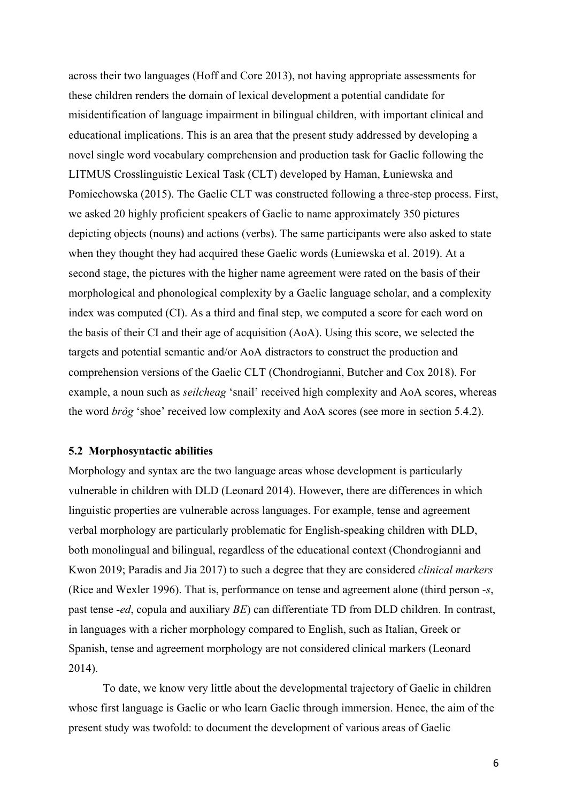across their two languages (Hoff and Core 2013), not having appropriate assessments for these children renders the domain of lexical development a potential candidate for misidentification of language impairment in bilingual children, with important clinical and educational implications. This is an area that the present study addressed by developing a novel single word vocabulary comprehension and production task for Gaelic following the LITMUS Crosslinguistic Lexical Task (CLT) developed by Haman, Łuniewska and Pomiechowska (2015). The Gaelic CLT was constructed following a three-step process. First, we asked 20 highly proficient speakers of Gaelic to name approximately 350 pictures depicting objects (nouns) and actions (verbs). The same participants were also asked to state when they thought they had acquired these Gaelic words (Łuniewska et al. 2019). At a second stage, the pictures with the higher name agreement were rated on the basis of their morphological and phonological complexity by a Gaelic language scholar, and a complexity index was computed (CI). As a third and final step, we computed a score for each word on the basis of their CI and their age of acquisition (AoA). Using this score, we selected the targets and potential semantic and/or AoA distractors to construct the production and comprehension versions of the Gaelic CLT (Chondrogianni, Butcher and Cox 2018). For example, a noun such as *seilcheag* 'snail' received high complexity and AoA scores, whereas the word *bròg* 'shoe' received low complexity and AoA scores (see more in section 5.4.2).

## **5.2 Morphosyntactic abilities**

Morphology and syntax are the two language areas whose development is particularly vulnerable in children with DLD (Leonard 2014). However, there are differences in which linguistic properties are vulnerable across languages. For example, tense and agreement verbal morphology are particularly problematic for English-speaking children with DLD, both monolingual and bilingual, regardless of the educational context (Chondrogianni and Kwon 2019; Paradis and Jia 2017) to such a degree that they are considered *clinical markers* (Rice and Wexler 1996). That is, performance on tense and agreement alone (third person *-s*, past tense *-ed*, copula and auxiliary *BE*) can differentiate TD from DLD children. In contrast, in languages with a richer morphology compared to English, such as Italian, Greek or Spanish, tense and agreement morphology are not considered clinical markers (Leonard 2014).

To date, we know very little about the developmental trajectory of Gaelic in children whose first language is Gaelic or who learn Gaelic through immersion. Hence, the aim of the present study was twofold: to document the development of various areas of Gaelic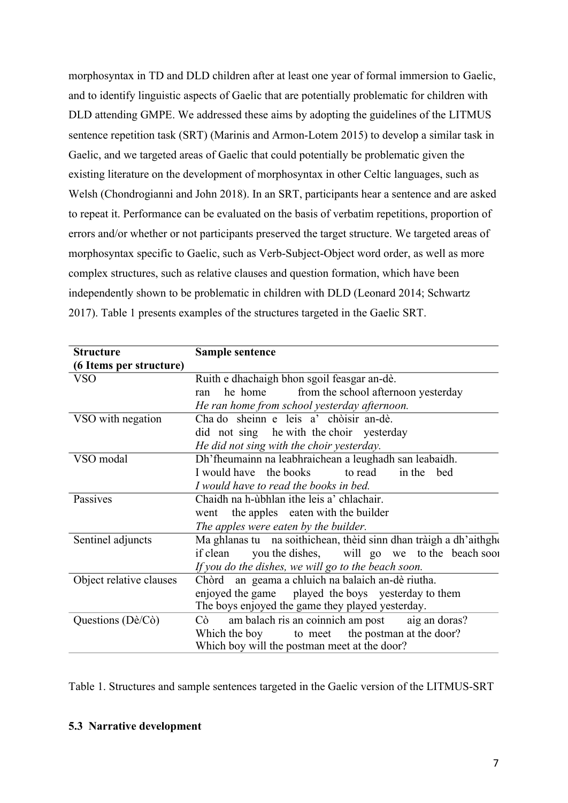morphosyntax in TD and DLD children after at least one year of formal immersion to Gaelic, and to identify linguistic aspects of Gaelic that are potentially problematic for children with DLD attending GMPE. We addressed these aims by adopting the guidelines of the LITMUS sentence repetition task (SRT) (Marinis and Armon-Lotem 2015) to develop a similar task in Gaelic, and we targeted areas of Gaelic that could potentially be problematic given the existing literature on the development of morphosyntax in other Celtic languages, such as Welsh (Chondrogianni and John 2018). In an SRT, participants hear a sentence and are asked to repeat it. Performance can be evaluated on the basis of verbatim repetitions, proportion of errors and/or whether or not participants preserved the target structure. We targeted areas of morphosyntax specific to Gaelic, such as Verb-Subject-Object word order, as well as more complex structures, such as relative clauses and question formation, which have been independently shown to be problematic in children with DLD (Leonard 2014; Schwartz 2017). Table 1 presents examples of the structures targeted in the Gaelic SRT.

| <b>Structure</b>                  | Sample sentence                                                   |
|-----------------------------------|-------------------------------------------------------------------|
| (6 Items per structure)           |                                                                   |
| VSO                               | Ruith e dhachaigh bhon sgoil feasgar an-dè.                       |
|                                   | he home<br>from the school afternoon yesterday<br>ran             |
|                                   | He ran home from school yesterday afternoon.                      |
| VSO with negation                 | Cha do sheinn e leis a' chòisir an-dè.                            |
|                                   | did not sing he with the choir yesterday                          |
|                                   | He did not sing with the choir yesterday.                         |
| VSO modal                         | Dh'fheumainn na leabhraichean a leughadh san leabaidh.            |
|                                   | I would have the books<br>to read<br>in the bed                   |
|                                   | I would have to read the books in bed.                            |
| Passives                          | Chaidh na h-ùbhlan ithe leis a' chlachair.                        |
|                                   | the apples eaten with the builder<br>went                         |
|                                   | The apples were eaten by the builder.                             |
| Sentinel adjuncts                 | Ma ghlanas tu na soithichean, thèid sinn dhan tràigh a dh'aithghe |
|                                   | you the dishes, will go we to the beach sool<br>if clean          |
|                                   | If you do the dishes, we will go to the beach soon.               |
| Object relative clauses           | Chòrd an geama a chluich na balaich an-dè riutha.                 |
|                                   | enjoyed the game   played the boys   yesterday to them            |
|                                   | The boys enjoyed the game they played yesterday.                  |
| Questions ( $D\hat{e}/C\hat{o}$ ) | am balach ris an coinnich am post aig an doras?<br>Cò             |
|                                   | Which the boy to meet the postman at the door?                    |
|                                   | Which boy will the postman meet at the door?                      |

Table 1. Structures and sample sentences targeted in the Gaelic version of the LITMUS-SRT

## **5.3 Narrative development**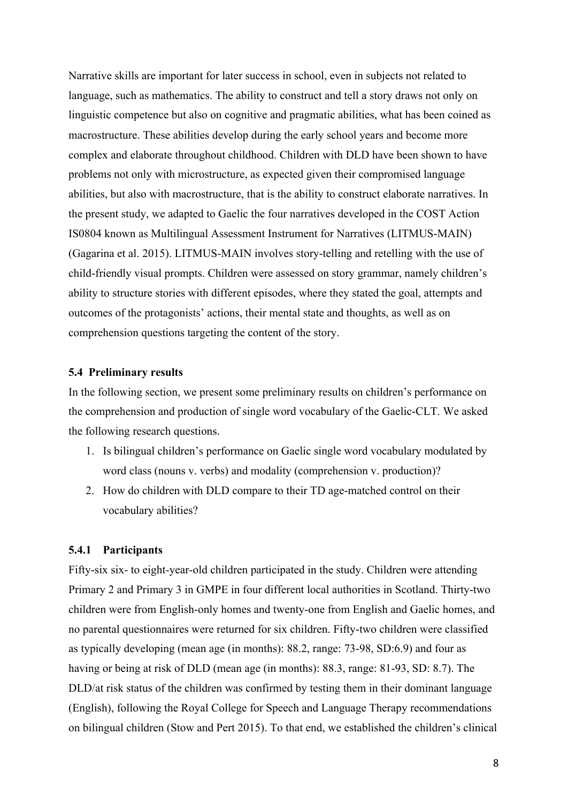Narrative skills are important for later success in school, even in subjects not related to language, such as mathematics. The ability to construct and tell a story draws not only on linguistic competence but also on cognitive and pragmatic abilities, what has been coined as macrostructure. These abilities develop during the early school years and become more complex and elaborate throughout childhood. Children with DLD have been shown to have problems not only with microstructure, as expected given their compromised language abilities, but also with macrostructure, that is the ability to construct elaborate narratives. In the present study, we adapted to Gaelic the four narratives developed in the COST Action IS0804 known as Multilingual Assessment Instrument for Narratives (LITMUS-MAIN) (Gagarina et al. 2015). LITMUS-MAIN involves story-telling and retelling with the use of child-friendly visual prompts. Children were assessed on story grammar, namely children's ability to structure stories with different episodes, where they stated the goal, attempts and outcomes of the protagonists' actions, their mental state and thoughts, as well as on comprehension questions targeting the content of the story.

#### **5.4 Preliminary results**

In the following section, we present some preliminary results on children's performance on the comprehension and production of single word vocabulary of the Gaelic-CLT. We asked the following research questions.

- 1. Is bilingual children's performance on Gaelic single word vocabulary modulated by word class (nouns v. verbs) and modality (comprehension v. production)?
- 2. How do children with DLD compare to their TD age-matched control on their vocabulary abilities?

## **5.4.1 Participants**

Fifty-six six- to eight-year-old children participated in the study. Children were attending Primary 2 and Primary 3 in GMPE in four different local authorities in Scotland. Thirty-two children were from English-only homes and twenty-one from English and Gaelic homes, and no parental questionnaires were returned for six children. Fifty-two children were classified as typically developing (mean age (in months): 88.2, range: 73-98, SD:6.9) and four as having or being at risk of DLD (mean age (in months): 88.3, range: 81-93, SD: 8.7). The DLD/at risk status of the children was confirmed by testing them in their dominant language (English), following the Royal College for Speech and Language Therapy recommendations on bilingual children (Stow and Pert 2015). To that end, we established the children's clinical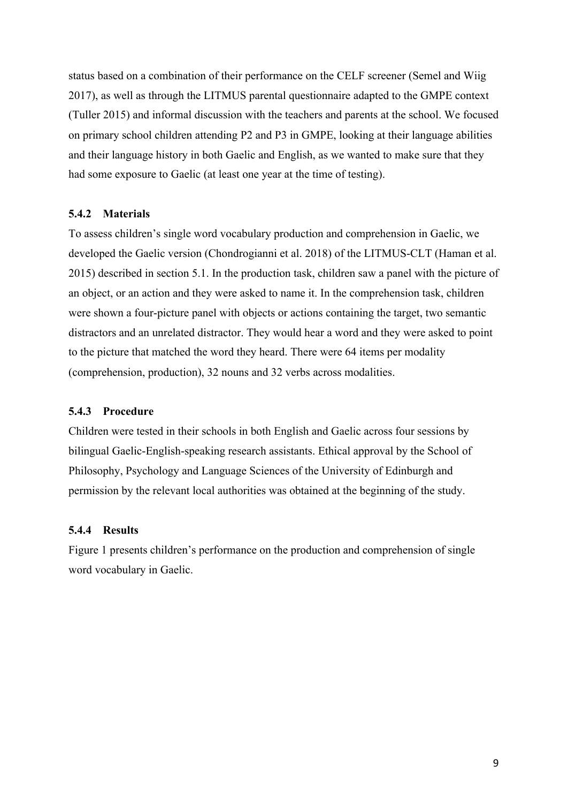status based on a combination of their performance on the CELF screener (Semel and Wiig 2017), as well as through the LITMUS parental questionnaire adapted to the GMPE context (Tuller 2015) and informal discussion with the teachers and parents at the school. We focused on primary school children attending P2 and P3 in GMPE, looking at their language abilities and their language history in both Gaelic and English, as we wanted to make sure that they had some exposure to Gaelic (at least one year at the time of testing).

#### **5.4.2 Materials**

To assess children's single word vocabulary production and comprehension in Gaelic, we developed the Gaelic version (Chondrogianni et al. 2018) of the LITMUS-CLT (Haman et al. 2015) described in section 5.1. In the production task, children saw a panel with the picture of an object, or an action and they were asked to name it. In the comprehension task, children were shown a four-picture panel with objects or actions containing the target, two semantic distractors and an unrelated distractor. They would hear a word and they were asked to point to the picture that matched the word they heard. There were 64 items per modality (comprehension, production), 32 nouns and 32 verbs across modalities.

## **5.4.3 Procedure**

Children were tested in their schools in both English and Gaelic across four sessions by bilingual Gaelic-English-speaking research assistants. Ethical approval by the School of Philosophy, Psychology and Language Sciences of the University of Edinburgh and permission by the relevant local authorities was obtained at the beginning of the study.

## **5.4.4 Results**

Figure 1 presents children's performance on the production and comprehension of single word vocabulary in Gaelic.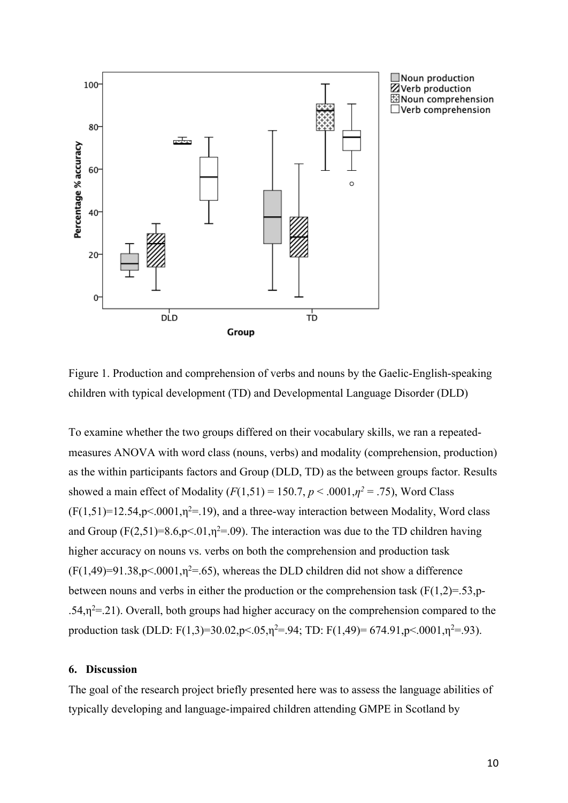

Figure 1. Production and comprehension of verbs and nouns by the Gaelic-English-speaking children with typical development (TD) and Developmental Language Disorder (DLD)

To examine whether the two groups differed on their vocabulary skills, we ran a repeatedmeasures ANOVA with word class (nouns, verbs) and modality (comprehension, production) as the within participants factors and Group (DLD, TD) as the between groups factor. Results showed a main effect of Modality  $(F(1,51) = 150.7, p < .0001, \eta^2 = .75)$ , Word Class  $(F(1,51)=12.54, p<0.001, \eta^2=19)$ , and a three-way interaction between Modality, Word class and Group ( $F(2,51)=8.6, p<0.1, \eta^2=0.09$ ). The interaction was due to the TD children having higher accuracy on nouns vs. verbs on both the comprehension and production task  $(F(1, 49)=91.38, p<.0001, \eta^2=0.65)$ , whereas the DLD children did not show a difference between nouns and verbs in either the production or the comprehension task  $(F(1,2)=.53,p-$ .54, $\eta^2$ =.21). Overall, both groups had higher accuracy on the comprehension compared to the production task (DLD: F(1,3)=30.02,p<.05, $\eta^2$ =.94; TD: F(1,49)= 674.91,p<.0001, $\eta^2$ =.93).

## **6. Discussion**

The goal of the research project briefly presented here was to assess the language abilities of typically developing and language-impaired children attending GMPE in Scotland by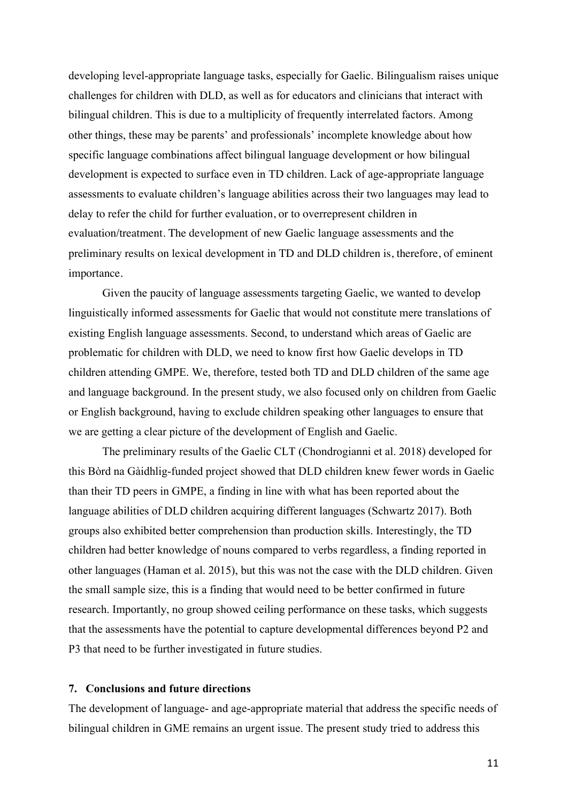developing level-appropriate language tasks, especially for Gaelic. Bilingualism raises unique challenges for children with DLD, as well as for educators and clinicians that interact with bilingual children. This is due to a multiplicity of frequently interrelated factors. Among other things, these may be parents' and professionals' incomplete knowledge about how specific language combinations affect bilingual language development or how bilingual development is expected to surface even in TD children. Lack of age-appropriate language assessments to evaluate children's language abilities across their two languages may lead to delay to refer the child for further evaluation, or to overrepresent children in evaluation/treatment. The development of new Gaelic language assessments and the preliminary results on lexical development in TD and DLD children is, therefore, of eminent importance.

Given the paucity of language assessments targeting Gaelic, we wanted to develop linguistically informed assessments for Gaelic that would not constitute mere translations of existing English language assessments. Second, to understand which areas of Gaelic are problematic for children with DLD, we need to know first how Gaelic develops in TD children attending GMPE. We, therefore, tested both TD and DLD children of the same age and language background. In the present study, we also focused only on children from Gaelic or English background, having to exclude children speaking other languages to ensure that we are getting a clear picture of the development of English and Gaelic.

The preliminary results of the Gaelic CLT (Chondrogianni et al. 2018) developed for this Bòrd na Gàidhlig-funded project showed that DLD children knew fewer words in Gaelic than their TD peers in GMPE, a finding in line with what has been reported about the language abilities of DLD children acquiring different languages (Schwartz 2017). Both groups also exhibited better comprehension than production skills. Interestingly, the TD children had better knowledge of nouns compared to verbs regardless, a finding reported in other languages (Haman et al. 2015), but this was not the case with the DLD children. Given the small sample size, this is a finding that would need to be better confirmed in future research. Importantly, no group showed ceiling performance on these tasks, which suggests that the assessments have the potential to capture developmental differences beyond P2 and P3 that need to be further investigated in future studies.

## **7. Conclusions and future directions**

The development of language- and age-appropriate material that address the specific needs of bilingual children in GME remains an urgent issue. The present study tried to address this

11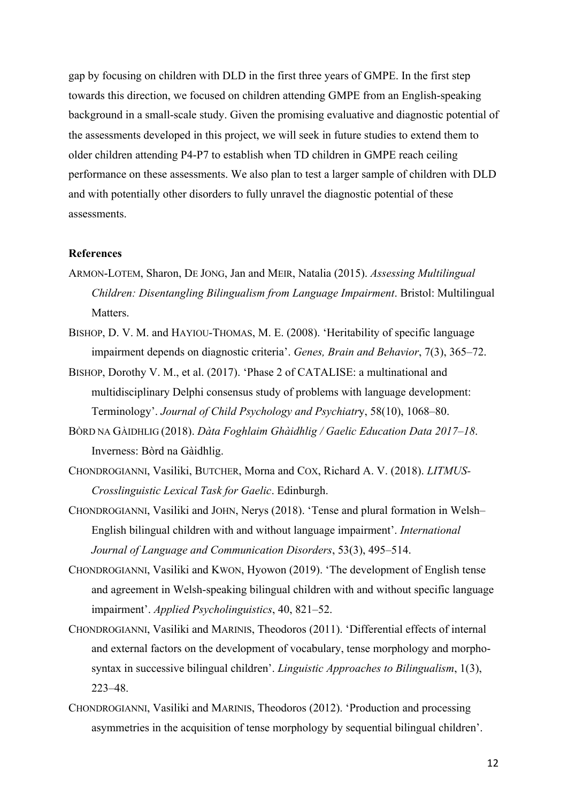gap by focusing on children with DLD in the first three years of GMPE. In the first step towards this direction, we focused on children attending GMPE from an English-speaking background in a small-scale study. Given the promising evaluative and diagnostic potential of the assessments developed in this project, we will seek in future studies to extend them to older children attending P4-P7 to establish when TD children in GMPE reach ceiling performance on these assessments. We also plan to test a larger sample of children with DLD and with potentially other disorders to fully unravel the diagnostic potential of these assessments.

## **References**

- ARMON-LOTEM, Sharon, DE JONG, Jan and MEIR, Natalia (2015). *Assessing Multilingual Children: Disentangling Bilingualism from Language Impairment*. Bristol: Multilingual Matters.
- BISHOP, D. V. M. and HAYIOU-THOMAS, M. E. (2008). 'Heritability of specific language impairment depends on diagnostic criteria'. *Genes, Brain and Behavior*, 7(3), 365–72.
- BISHOP, Dorothy V. M., et al. (2017). 'Phase 2 of CATALISE: a multinational and multidisciplinary Delphi consensus study of problems with language development: Terminology'. *Journal of Child Psychology and Psychiatr*y, 58(10), 1068–80.
- BÒRD NA GÀIDHLIG (2018). *Dàta Foghlaim Ghàidhlig / Gaelic Education Data 2017–18*. Inverness: Bòrd na Gàidhlig.
- CHONDROGIANNI, Vasiliki, BUTCHER, Morna and COX, Richard A. V. (2018). *LITMUS-Crosslinguistic Lexical Task for Gaelic*. Edinburgh.
- CHONDROGIANNI, Vasiliki and JOHN, Nerys (2018). 'Tense and plural formation in Welsh– English bilingual children with and without language impairment'. *International Journal of Language and Communication Disorders*, 53(3), 495–514.
- CHONDROGIANNI, Vasiliki and KWON, Hyowon (2019). 'The development of English tense and agreement in Welsh-speaking bilingual children with and without specific language impairment'. *Applied Psycholinguistics*, 40, 821–52.
- CHONDROGIANNI, Vasiliki and MARINIS, Theodoros (2011). 'Differential effects of internal and external factors on the development of vocabulary, tense morphology and morphosyntax in successive bilingual children'. *Linguistic Approaches to Bilingualism*, 1(3), 223–48.
- CHONDROGIANNI, Vasiliki and MARINIS, Theodoros (2012). 'Production and processing asymmetries in the acquisition of tense morphology by sequential bilingual children'.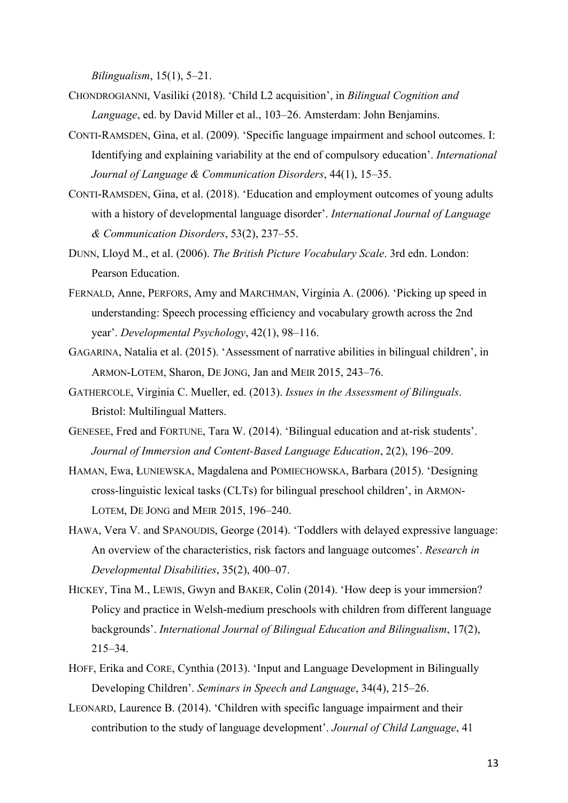*Bilingualism*, 15(1), 5–21.

- CHONDROGIANNI, Vasiliki (2018). 'Child L2 acquisition', in *Bilingual Cognition and Language*, ed. by David Miller et al., 103–26. Amsterdam: John Benjamins.
- CONTI-RAMSDEN, Gina, et al. (2009). 'Specific language impairment and school outcomes. I: Identifying and explaining variability at the end of compulsory education'. *International Journal of Language & Communication Disorders*, 44(1), 15–35.
- CONTI-RAMSDEN, Gina, et al. (2018). 'Education and employment outcomes of young adults with a history of developmental language disorder'. *International Journal of Language & Communication Disorders*, 53(2), 237–55.
- DUNN, Lloyd M., et al. (2006). *The British Picture Vocabulary Scale*. 3rd edn. London: Pearson Education.
- FERNALD, Anne, PERFORS, Amy and MARCHMAN, Virginia A. (2006). 'Picking up speed in understanding: Speech processing efficiency and vocabulary growth across the 2nd year'. *Developmental Psychology*, 42(1), 98–116.
- GAGARINA, Natalia et al. (2015). 'Assessment of narrative abilities in bilingual children', in ARMON-LOTEM, Sharon, DE JONG, Jan and MEIR 2015, 243–76.
- GATHERCOLE, Virginia C. Mueller, ed. (2013). *Issues in the Assessment of Bilinguals*. Bristol: Multilingual Matters.
- GENESEE, Fred and FORTUNE, Tara W. (2014). 'Bilingual education and at-risk students'. *Journal of Immersion and Content-Based Language Education*, 2(2), 196–209.
- HAMAN, Ewa, ŁUNIEWSKA, Magdalena and POMIECHOWSKA, Barbara (2015). 'Designing cross-linguistic lexical tasks (CLTs) for bilingual preschool children', in ARMON-LOTEM, DE JONG and MEIR 2015, 196–240.
- HAWA, Vera V. and SPANOUDIS, George (2014). 'Toddlers with delayed expressive language: An overview of the characteristics, risk factors and language outcomes'. *Research in Developmental Disabilities*, 35(2), 400–07.
- HICKEY, Tina M., LEWIS, Gwyn and BAKER, Colin (2014). 'How deep is your immersion? Policy and practice in Welsh-medium preschools with children from different language backgrounds'. *International Journal of Bilingual Education and Bilingualism*, 17(2), 215–34.
- HOFF, Erika and CORE, Cynthia (2013). 'Input and Language Development in Bilingually Developing Children'. *Seminars in Speech and Language*, 34(4), 215–26.
- LEONARD, Laurence B. (2014). 'Children with specific language impairment and their contribution to the study of language development'. *Journal of Child Language*, 41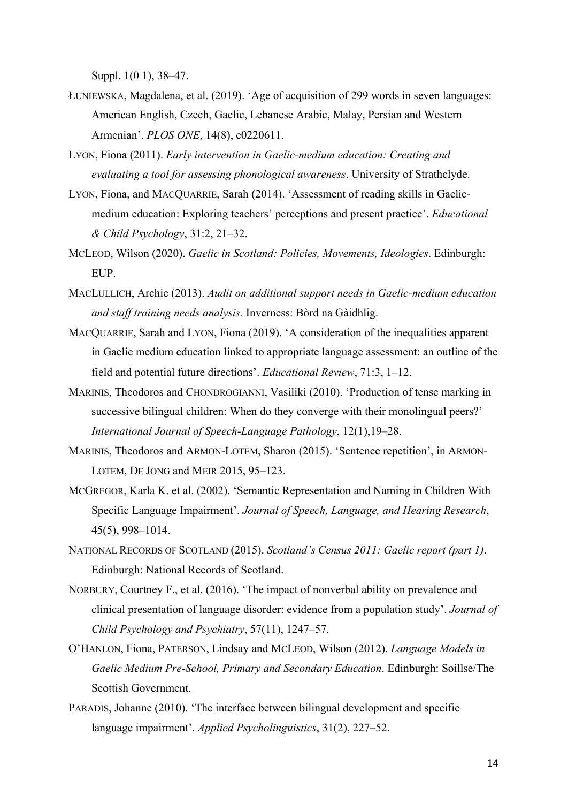Suppl. 1(0 1), 38–47.

- ŁUNIEWSKA, Magdalena, et al. (2019). 'Age of acquisition of 299 words in seven languages: American English, Czech, Gaelic, Lebanese Arabic, Malay, Persian and Western Armenian'. *PLOS ONE*, 14(8), e0220611.
- LYON, Fiona (2011). *Early intervention in Gaelic-medium education: Creating and evaluating a tool for assessing phonological awareness*. University of Strathclyde.
- LYON, Fiona, and MACQUARRIE, Sarah (2014). 'Assessment of reading skills in Gaelicmedium education: Exploring teachers' perceptions and present practice'. *Educational & Child Psychology*, 31:2, 21–32.
- MCLEOD, Wilson (2020). *Gaelic in Scotland: Policies, Movements, Ideologies*. Edinburgh: EUP.
- MACLULLICH, Archie (2013). *Audit on additional support needs in Gaelic-medium education and staff training needs analysis.* Inverness: Bòrd na Gàidhlig.
- MACQUARRIE, Sarah and LYON, Fiona (2019). 'A consideration of the inequalities apparent in Gaelic medium education linked to appropriate language assessment: an outline of the field and potential future directions'. *Educational Review*, 71:3, 1–12.
- MARINIS, Theodoros and CHONDROGIANNI, Vasiliki (2010). 'Production of tense marking in successive bilingual children: When do they converge with their monolingual peers?' *International Journal of Speech-Language Pathology*, 12(1),19–28.
- MARINIS, Theodoros and ARMON-LOTEM, Sharon (2015). 'Sentence repetition', in ARMON-LOTEM, DE JONG and MEIR 2015, 95–123.
- MCGREGOR, Karla K. et al. (2002). 'Semantic Representation and Naming in Children With Specific Language Impairment'. *Journal of Speech, Language, and Hearing Research*, 45(5), 998–1014.
- NATIONAL RECORDS OF SCOTLAND (2015). *Scotland's Census 2011: Gaelic report (part 1)*. Edinburgh: National Records of Scotland.
- NORBURY, Courtney F., et al. (2016). 'The impact of nonverbal ability on prevalence and clinical presentation of language disorder: evidence from a population study'. *Journal of Child Psychology and Psychiatry*, 57(11), 1247–57.
- O'HANLON, Fiona, PATERSON, Lindsay and MCLEOD, Wilson (2012). *Language Models in Gaelic Medium Pre-School, Primary and Secondary Education*. Edinburgh: Soillse/The Scottish Government.
- PARADIS, Johanne (2010). 'The interface between bilingual development and specific language impairment'. *Applied Psycholinguistics*, 31(2), 227–52.